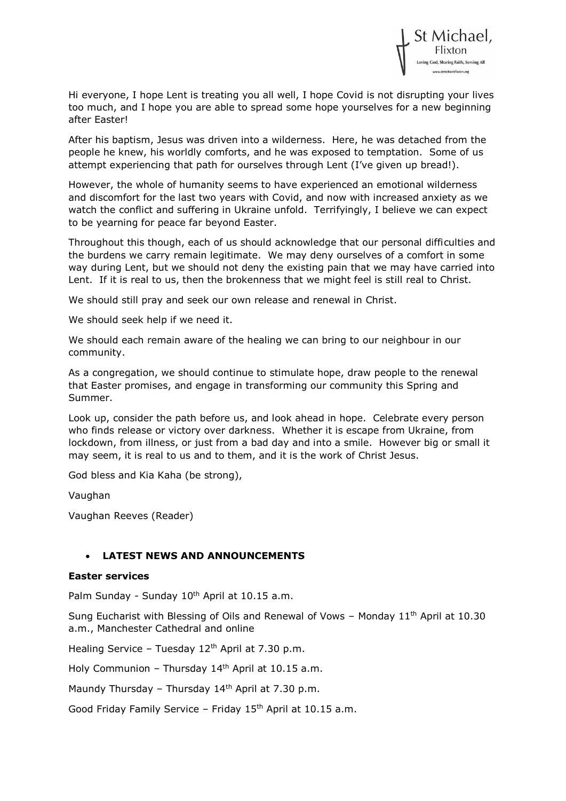

Hi everyone, I hope Lent is treating you all well, I hope Covid is not disrupting your lives too much, and I hope you are able to spread some hope yourselves for a new beginning after Easter!

After his baptism, Jesus was driven into a wilderness. Here, he was detached from the people he knew, his worldly comforts, and he was exposed to temptation. Some of us attempt experiencing that path for ourselves through Lent (I've given up bread!).

However, the whole of humanity seems to have experienced an emotional wilderness and discomfort for the last two years with Covid, and now with increased anxiety as we watch the conflict and suffering in Ukraine unfold. Terrifyingly, I believe we can expect to be yearning for peace far beyond Easter.

Throughout this though, each of us should acknowledge that our personal difficulties and the burdens we carry remain legitimate. We may deny ourselves of a comfort in some way during Lent, but we should not deny the existing pain that we may have carried into Lent. If it is real to us, then the brokenness that we might feel is still real to Christ.

We should still pray and seek our own release and renewal in Christ.

We should seek help if we need it.

We should each remain aware of the healing we can bring to our neighbour in our community.

As a congregation, we should continue to stimulate hope, draw people to the renewal that Easter promises, and engage in transforming our community this Spring and Summer.

Look up, consider the path before us, and look ahead in hope. Celebrate every person who finds release or victory over darkness. Whether it is escape from Ukraine, from lockdown, from illness, or just from a bad day and into a smile. However big or small it may seem, it is real to us and to them, and it is the work of Christ Jesus.

God bless and Kia Kaha (be strong),

Vaughan

Vaughan Reeves (Reader)

### • **LATEST NEWS AND ANNOUNCEMENTS**

#### **Easter services**

Palm Sunday - Sunday 10<sup>th</sup> April at 10.15 a.m.

Sung Eucharist with Blessing of Oils and Renewal of Vows – Monday  $11<sup>th</sup>$  April at 10.30 a.m., Manchester Cathedral and online

Healing Service - Tuesday  $12<sup>th</sup>$  April at 7.30 p.m.

Holy Communion - Thursday  $14<sup>th</sup>$  April at 10.15 a.m.

Maundy Thursday – Thursday  $14<sup>th</sup>$  April at 7.30 p.m.

Good Friday Family Service - Friday 15<sup>th</sup> April at 10.15 a.m.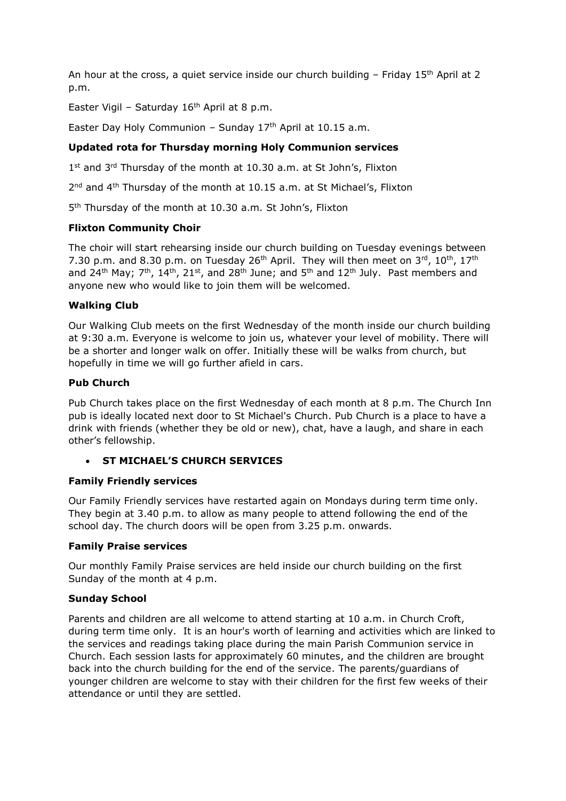An hour at the cross, a quiet service inside our church building  $-$  Friday 15<sup>th</sup> April at 2 p.m.

Easter Vigil - Saturday  $16<sup>th</sup>$  April at 8 p.m.

Easter Day Holy Communion – Sunday  $17<sup>th</sup>$  April at 10.15 a.m.

## **Updated rota for Thursday morning Holy Communion services**

1<sup>st</sup> and 3<sup>rd</sup> Thursday of the month at 10.30 a.m. at St John's, Flixton

2<sup>nd</sup> and 4<sup>th</sup> Thursday of the month at 10.15 a.m. at St Michael's, Flixton

5 th Thursday of the month at 10.30 a.m. St John's, Flixton

### **Flixton Community Choir**

The choir will start rehearsing inside our church building on Tuesday evenings between 7.30 p.m. and 8.30 p.m. on Tuesday  $26<sup>th</sup>$  April. They will then meet on  $3<sup>rd</sup>$ ,  $10<sup>th</sup>$ ,  $17<sup>th</sup>$ and 24<sup>th</sup> May;  $7<sup>th</sup>$ , 14<sup>th</sup>, 21<sup>st</sup>, and 28<sup>th</sup> June; and 5<sup>th</sup> and 12<sup>th</sup> July. Past members and anyone new who would like to join them will be welcomed.

### **Walking Club**

Our Walking Club meets on the first Wednesday of the month inside our church building at 9:30 a.m. Everyone is welcome to join us, whatever your level of mobility. There will be a shorter and longer walk on offer. Initially these will be walks from church, but hopefully in time we will go further afield in cars.

### **Pub Church**

Pub Church takes place on the first Wednesday of each month at 8 p.m. The Church Inn pub is ideally located next door to St Michael's Church. Pub Church is a place to have a drink with friends (whether they be old or new), chat, have a laugh, and share in each other's fellowship.

## • **ST MICHAEL'S CHURCH SERVICES**

### **Family Friendly services**

Our Family Friendly services have restarted again on Mondays during term time only. They begin at 3.40 p.m. to allow as many people to attend following the end of the school day. The church doors will be open from 3.25 p.m. onwards.

### **Family Praise services**

Our monthly Family Praise services are held inside our church building on the first Sunday of the month at 4 p.m.

### **Sunday School**

Parents and children are all welcome to attend starting at 10 a.m. in Church Croft, during term time only. It is an hour's worth of learning and activities which are linked to the services and readings taking place during the main Parish Communion service in Church. Each session lasts for approximately 60 minutes, and the children are brought back into the church building for the end of the service. The parents/guardians of younger children are welcome to stay with their children for the first few weeks of their attendance or until they are settled.